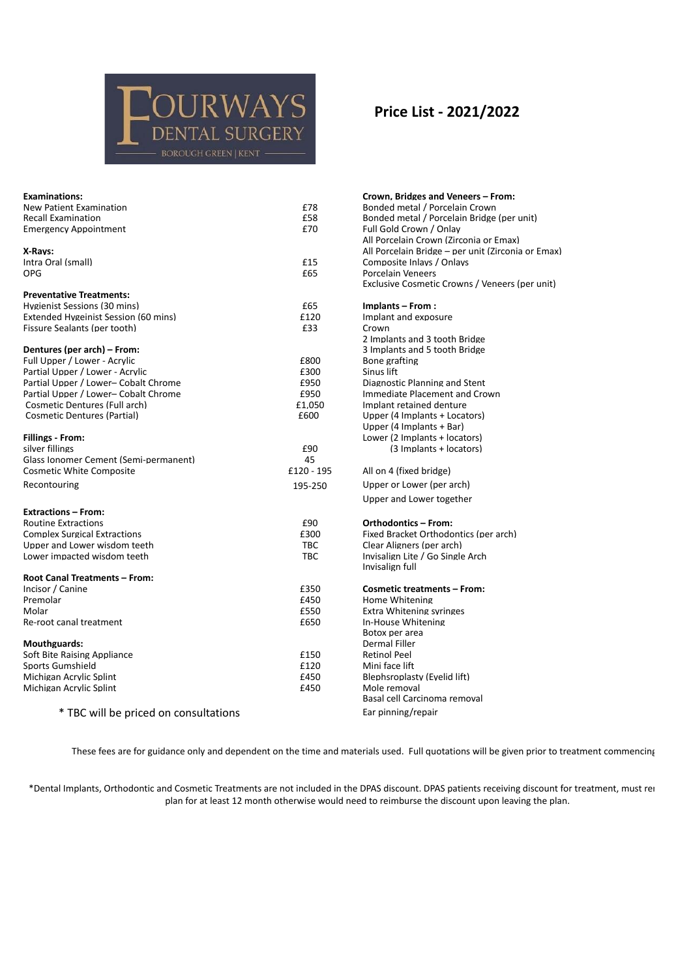## **JURWAYS TAL SURGERY BOROUGH GREEN | KENT**

| <b>Examinations:</b>                  |            | Crown, Bridges and Veneers - From:                 |
|---------------------------------------|------------|----------------------------------------------------|
| <b>New Patient Examination</b>        | £78        | Bonded metal / Porcelain Crown                     |
| <b>Recall Examination</b>             | £58        | Bonded metal / Porcelain Bridge (per unit)         |
| <b>Emergency Appointment</b>          | £70        | Full Gold Crown / Onlay                            |
|                                       |            | All Porcelain Crown (Zirconia or Emax)             |
| X-Rays:                               |            | All Porcelain Bridge - per unit (Zirconia or Emax) |
| Intra Oral (small)                    | £15        | Composite Inlays / Onlays                          |
| OPG                                   | £65        | <b>Porcelain Veneers</b>                           |
|                                       |            | Exclusive Cosmetic Crowns / Veneers (per unit)     |
| <b>Preventative Treatments:</b>       |            |                                                    |
| Hygienist Sessions (30 mins)          | £65        | Implants – From:                                   |
| Extended Hygeinist Session (60 mins)  | £120       | Implant and exposure                               |
| Fissure Sealants (per tooth)          | £33        | Crown                                              |
|                                       |            | 2 Implants and 3 tooth Bridge                      |
| Dentures (per arch) – From:           |            | 3 Implants and 5 tooth Bridge                      |
| Full Upper / Lower - Acrylic          | £800       | Bone grafting                                      |
| Partial Upper / Lower - Acrylic       | £300       | Sinus lift                                         |
| Partial Upper / Lower- Cobalt Chrome  | £950       | Diagnostic Planning and Stent                      |
| Partial Upper / Lower- Cobalt Chrome  | £950       | Immediate Placement and Crown                      |
| Cosmetic Dentures (Full arch)         | £1,050     | Implant retained denture                           |
| <b>Cosmetic Dentures (Partial)</b>    | £600       | Upper (4 Implants + Locators)                      |
|                                       |            | Upper (4 Implants + Bar)                           |
| <b>Fillings - From:</b>               |            | Lower (2 Implants + locators)                      |
| silver fillings                       | £90        | (3 Implants + locators)                            |
| Glass Ionomer Cement (Semi-permanent) | 45         |                                                    |
| <b>Cosmetic White Composite</b>       | £120 - 195 | All on 4 (fixed bridge)                            |
|                                       |            |                                                    |
| Recontouring                          | 195-250    | Upper or Lower (per arch)                          |
|                                       |            | Upper and Lower together                           |
| <b>Extractions - From:</b>            |            |                                                    |
| <b>Routine Extractions</b>            | £90        | <b>Orthodontics - From:</b>                        |
| <b>Complex Surgical Extractions</b>   | £300       | Fixed Bracket Orthodontics (per arch)              |
| Upper and Lower wisdom teeth          | <b>TBC</b> | Clear Aligners (per arch)                          |
| Lower impacted wisdom teeth           | <b>TBC</b> | Invisalign Lite / Go Single Arch                   |
|                                       |            | Invisalign full                                    |
| Root Canal Treatments - From:         |            |                                                    |
| Incisor / Canine                      | £350       | <b>Cosmetic treatments - From:</b>                 |
| Premolar                              | £450       | Home Whitening                                     |
| Molar                                 | £550       | <b>Extra Whitening syringes</b>                    |
| Re-root canal treatment               | £650       | In-House Whitening                                 |
|                                       |            | Botox per area                                     |
| <b>Mouthguards:</b>                   |            | Dermal Filler                                      |
| Soft Bite Raising Appliance           | £150       | <b>Retinol Peel</b>                                |
| <b>Sports Gumshield</b>               | £120       | Mini face lift                                     |
| Michigan Acrylic Splint               | £450       | Blephsroplasty (Eyelid lift)                       |
| Michigan Acrylic Splint               | £450       | Mole removal                                       |
|                                       |            | Basal cell Carcinoma removal                       |
| * TBC will be priced on consultations |            | Ear pinning/repair                                 |
|                                       |            |                                                    |

## These fees are for guidance only and dependent on the time and materials used. Full quotations will be given prior to treatment commencing

\*Dental Implants, Orthodontic and Cosmetic Treatments are not included in the DPAS discount. DPAS patients receiving discount for treatment, must rei plan for at least 12 month otherwise would need to reimburse the discount upon leaving the plan.

## **Price List - 2021/2022**